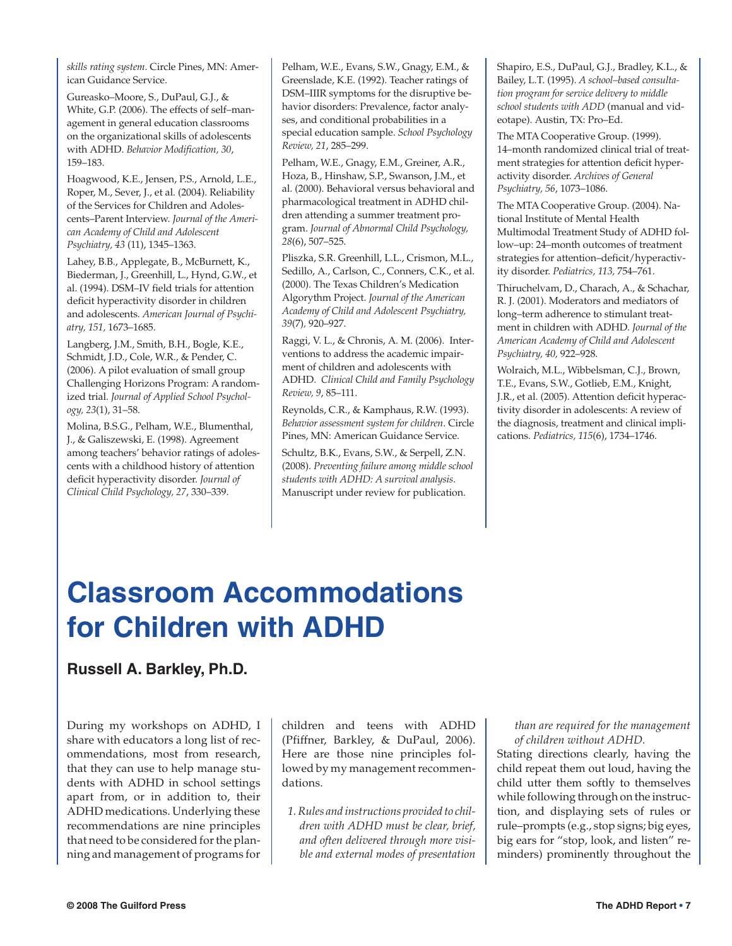*skills rating system*. Circle Pines, MN: American Guidance Service.

Gureasko–Moore, S., DuPaul, G.J., & White, G.P. (2006). The effects of self–management in general education classrooms on the organizational skills of adolescents with ADHD. *Behavior Modification, 30*, 159–183.

Hoagwood, K.E., Jensen, P.S., Arnold, L.E., Roper, M., Sever, J., et al. (2004). Reliability of the Services for Children and Adolescents–Parent Interview. *Journal of the American Academy of Child and Adolescent Psychiatry, 43* (11), 1345–1363.

Lahey, B.B., Applegate, B., McBurnett, K., Biederman, J., Greenhill, L., Hynd, G.W., et al. (1994). DSM–IV field trials for attention deficit hyperactivity disorder in children and adolescents. *American Journal of Psychiatry, 151,* 1673–1685.

Langberg, J.M., Smith, B.H., Bogle, K.E., Schmidt, J.D., Cole, W.R., & Pender, C. (2006). A pilot evaluation of small group Challenging Horizons Program: A randomized trial. *Journal of Applied School Psychology, 23*(1), 31–58.

Molina, B.S.G., Pelham, W.E., Blumenthal, J., & Galiszewski, E. (1998). Agreement among teachers' behavior ratings of adolescents with a childhood history of attention deficit hyperactivity disorder. *Journal of Clinical Child Psychology, 27*, 330–339.

Pelham, W.E., Evans, S.W., Gnagy, E.M., & Greenslade, K.E. (1992). Teacher ratings of DSM–IIIR symptoms for the disruptive behavior disorders: Prevalence, factor analyses, and conditional probabilities in a special education sample. *School Psychology Review, 21*, 285–299.

Pelham, W.E., Gnagy, E.M., Greiner, A.R., Hoza, B., Hinshaw, S.P., Swanson, J.M., et al. (2000). Behavioral versus behavioral and pharmacological treatment in ADHD children attending a summer treatment program. *Journal of Abnormal Child Psychology, 28*(6), 507–525.

Pliszka, S.R. Greenhill, L.L., Crismon, M.L., Sedillo, A., Carlson, C., Conners, C.K., et al. (2000). The Texas Children's Medication Algorythm Project. *Journal of the American Academy of Child and Adolescent Psychiatry, 39*(7)*,* 920–927.

Raggi, V. L., & Chronis, A. M. (2006). Interventions to address the academic impairment of children and adolescents with ADHD. *Clinical Child and Family Psychology Review, 9*, 85–111.

Reynolds, C.R., & Kamphaus, R.W. (1993). *Behavior assessment system for children*. Circle Pines, MN: American Guidance Service.

Schultz, B.K., Evans, S.W., & Serpell, Z.N. (2008). *Preventing failure among middle school students with ADHD: A survival analysis*. Manuscript under review for publication.

Shapiro, E.S., DuPaul, G.J., Bradley, K.L., & Bailey, L.T. (1995). *A school–based consultation program for service delivery to middle school students with ADD* (manual and videotape). Austin, TX: Pro–Ed.

The MTA Cooperative Group. (1999). 14–month randomized clinical trial of treatment strategies for attention deficit hyperactivity disorder. *Archives of General Psychiatry, 56*, 1073–1086.

The MTA Cooperative Group. (2004). National Institute of Mental Health Multimodal Treatment Study of ADHD follow–up: 24–month outcomes of treatment strategies for attention–deficit/hyperactivity disorder. *Pediatrics, 113,* 754–761.

Thiruchelvam, D., Charach, A., & Schachar, R. J. (2001). Moderators and mediators of long–term adherence to stimulant treatment in children with ADHD. *Journal of the American Academy of Child and Adolescent Psychiatry, 40,* 922–928.

Wolraich, M.L., Wibbelsman, C.J., Brown, T.E., Evans, S.W., Gotlieb, E.M., Knight, J.R., et al. (2005). Attention deficit hyperactivity disorder in adolescents: A review of the diagnosis, treatment and clinical implications. *Pediatrics, 115*(6), 1734–1746.

# **Classroom Accommodations for Children with ADHD**

# **Russell A. Barkley, Ph.D.**

During my workshops on ADHD, I share with educators a long list of recommendations, most from research, that they can use to help manage students with ADHD in school settings apart from, or in addition to, their ADHD medications. Underlying these recommendations are nine principles that need to be considered for the planning and management of programs for

children and teens with ADHD (Pfiffner, Barkley, & DuPaul, 2006). Here are those nine principles followed by my management recommendations.

*1. Rules and instructions provided to children with ADHD must be clear, brief, and often delivered through more visible and external modes of presentation*

#### *than are required for the management of children without ADHD.*

Stating directions clearly, having the child repeat them out loud, having the child utter them softly to themselves while following through on the instruction, and displaying sets of rules or rule–prompts (e.g., stop signs; big eyes, big ears for "stop, look, and listen" reminders) prominently throughout the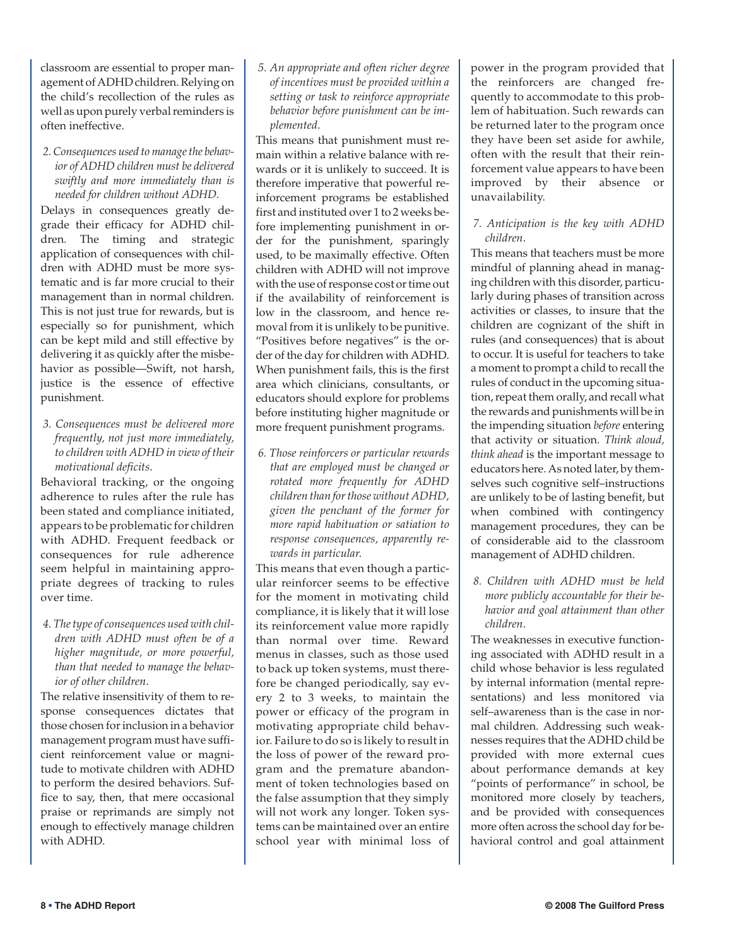classroom are essential to proper management of ADHD children. Relying on the child's recollection of the rules as well as upon purely verbal reminders is often ineffective.

*2. Consequences used to manage the behavior of ADHD children must be delivered swiftly and more immediately than is needed for children without ADHD.*

Delays in consequences greatly degrade their efficacy for ADHD children. The timing and strategic application of consequences with children with ADHD must be more systematic and is far more crucial to their management than in normal children. This is not just true for rewards, but is especially so for punishment, which can be kept mild and still effective by delivering it as quickly after the misbehavior as possible—Swift, not harsh, justice is the essence of effective punishment.

*3. Consequences must be delivered more frequently, not just more immediately, to children with ADHD in view of their motivational deficits*.

Behavioral tracking, or the ongoing adherence to rules after the rule has been stated and compliance initiated, appears to be problematic for children with ADHD. Frequent feedback or consequences for rule adherence seem helpful in maintaining appropriate degrees of tracking to rules over time.

*4. The type of consequences used with children with ADHD must often be of a higher magnitude, or more powerful, than that needed to manage the behavior of other children*.

The relative insensitivity of them to response consequences dictates that those chosen for inclusion in a behavior management program must have sufficient reinforcement value or magnitude to motivate children with ADHD to perform the desired behaviors. Suffice to say, then, that mere occasional praise or reprimands are simply not enough to effectively manage children with ADHD.

*5. An appropriate and often richer degree of incentives must be provided within a setting or task to reinforce appropriate behavior before punishment can be implemented*.

This means that punishment must remain within a relative balance with rewards or it is unlikely to succeed. It is therefore imperative that powerful reinforcement programs be established first and instituted over 1 to 2 weeks before implementing punishment in order for the punishment, sparingly used, to be maximally effective. Often children with ADHD will not improve with the use of response cost or time out if the availability of reinforcement is low in the classroom, and hence removal from it is unlikely to be punitive. "Positives before negatives" is the order of the day for children with ADHD. When punishment fails, this is the first area which clinicians, consultants, or educators should explore for problems before instituting higher magnitude or more frequent punishment programs.

*6. Those reinforcers or particular rewards that are employed must be changed or rotated more frequently for ADHD children than for those without ADHD, given the penchant of the former for more rapid habituation or satiation to response consequences, apparently rewards in particular*.

This means that even though a particular reinforcer seems to be effective for the moment in motivating child compliance, it is likely that it will lose its reinforcement value more rapidly than normal over time. Reward menus in classes, such as those used to back up token systems, must therefore be changed periodically, say every 2 to 3 weeks, to maintain the power or efficacy of the program in motivating appropriate child behavior. Failure to do so is likely to result in the loss of power of the reward program and the premature abandonment of token technologies based on the false assumption that they simply will not work any longer. Token systems can be maintained over an entire school year with minimal loss of power in the program provided that the reinforcers are changed frequently to accommodate to this problem of habituation. Such rewards can be returned later to the program once they have been set aside for awhile, often with the result that their reinforcement value appears to have been improved by their absence or unavailability.

# *7. Anticipation is the key with ADHD children*.

This means that teachers must be more mindful of planning ahead in managing children with this disorder, particularly during phases of transition across activities or classes, to insure that the children are cognizant of the shift in rules (and consequences) that is about to occur. It is useful for teachers to take a moment to prompt a child to recall the rules of conduct in the upcoming situation, repeat them orally, and recall what the rewards and punishments will be in the impending situation *before* entering that activity or situation. *Think aloud, think ahead* is the important message to educators here. As noted later, by themselves such cognitive self–instructions are unlikely to be of lasting benefit, but when combined with contingency management procedures, they can be of considerable aid to the classroom management of ADHD children.

*8. Children with ADHD must be held more publicly accountable for their behavior and goal attainment than other children*.

The weaknesses in executive functioning associated with ADHD result in a child whose behavior is less regulated by internal information (mental representations) and less monitored via self–awareness than is the case in normal children. Addressing such weaknesses requires that the ADHD child be provided with more external cues about performance demands at key "points of performance" in school, be monitored more closely by teachers, and be provided with consequences more often across the school day for behavioral control and goal attainment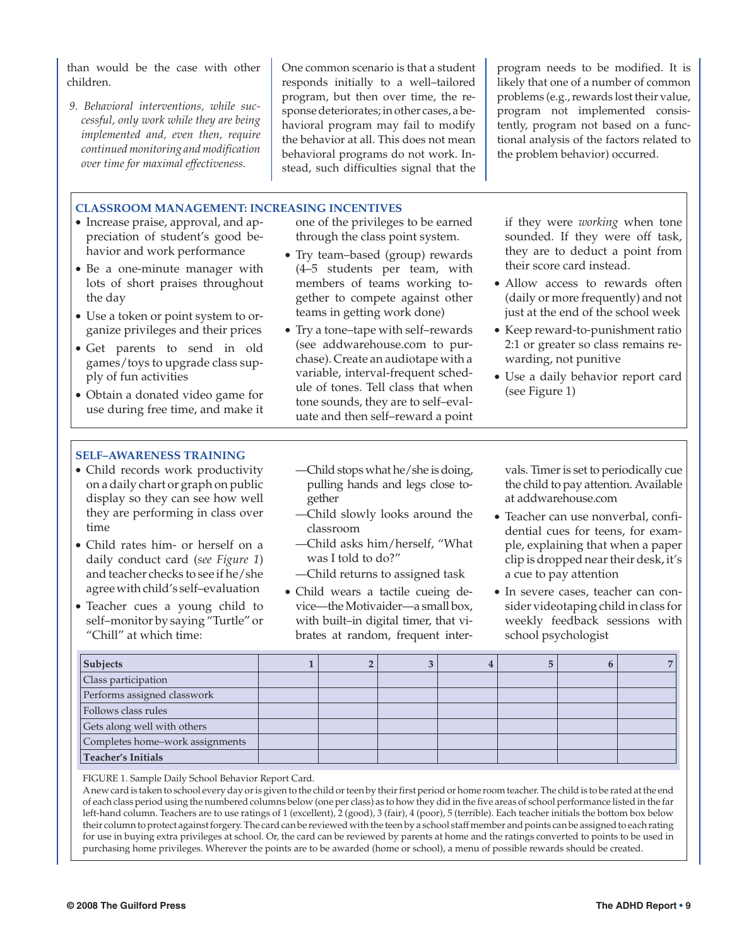than would be the case with other children.

*9. Behavioral interventions, while successful, only work while they are being implemented and, even then, require continued monitoring and modification over time for maximal effectiveness.*

One common scenario is that a student responds initially to a well–tailored program, but then over time, the response deteriorates; in other cases, a behavioral program may fail to modify the behavior at all. This does not mean behavioral programs do not work. Instead, such difficulties signal that the

program needs to be modified. It is likely that one of a number of common problems (e.g., rewards lost their value, program not implemented consistently, program not based on a functional analysis of the factors related to the problem behavior) occurred.

#### **CLASSROOM MANAGEMENT: INCREASING INCENTIVES**

- Increase praise, approval, and appreciation of student's good behavior and work performance
- Be a one-minute manager with lots of short praises throughout the day
- Use a token or point system to organize privileges and their prices
- Get parents to send in old games/toys to upgrade class supply of fun activities
- Obtain a donated video game for use during free time, and make it

one of the privileges to be earned through the class point system.

- Try team–based (group) rewards (4–5 students per team, with members of teams working together to compete against other teams in getting work done)
- Try a tone–tape with self–rewards (see addwarehouse.com to purchase). Create an audiotape with a variable, interval-frequent schedule of tones. Tell class that when tone sounds, they are to self–evaluate and then self–reward a point

if they were *working* when tone sounded. If they were off task, they are to deduct a point from their score card instead.

- Allow access to rewards often (daily or more frequently) and not just at the end of the school week
- Keep reward-to-punishment ratio 2:1 or greater so class remains rewarding, not punitive
- Use a daily behavior report card (see Figure 1)

### **SELF–AWARENESS TRAINING**

- Child records work productivity on a daily chart or graph on public display so they can see how well they are performing in class over time
- Child rates him- or herself on a daily conduct card (*see Figure 1*) and teacher checks to see if he/she agree with child's self–evaluation
- Teacher cues a young child to self–monitor by saying "Turtle" or "Chill" at which time:
- —Child stops what he/she is doing, pulling hands and legs close together
- —Child slowly looks around the classroom
- —Child asks him/herself, "What was I told to do?"
- —Child returns to assigned task
- Child wears a tactile cueing device—the Motivaider—a small box, with built–in digital timer, that vibrates at random, frequent inter-

vals. Timer is set to periodically cue the child to pay attention. Available at addwarehouse.com

- Teacher can use nonverbal, confidential cues for teens, for example, explaining that when a paper clip is dropped near their desk, it's a cue to pay attention
- In severe cases, teacher can consider videotaping child in class for weekly feedback sessions with school psychologist

| Subjects                        |  |  |  |  |
|---------------------------------|--|--|--|--|
| Class participation             |  |  |  |  |
| Performs assigned classwork     |  |  |  |  |
| Follows class rules             |  |  |  |  |
| Gets along well with others     |  |  |  |  |
| Completes home-work assignments |  |  |  |  |
| Teacher's Initials              |  |  |  |  |

FIGURE 1. Sample Daily School Behavior Report Card.

Anew card is taken to school every day or is given to the child or teen by their first period or home room teacher. The child is to be rated at the end of each class period using the numbered columns below (one per class) as to how they did in the five areas of school performance listed in the far left-hand column. Teachers are to use ratings of 1 (excellent), 2 (good), 3 (fair), 4 (poor), 5 (terrible). Each teacher initials the bottom box below their column to protect against forgery. The card can be reviewed with the teen by a school staff member and points can be assigned to each rating for use in buying extra privileges at school. Or, the card can be reviewed by parents at home and the ratings converted to points to be used in purchasing home privileges. Wherever the points are to be awarded (home or school), a menu of possible rewards should be created.